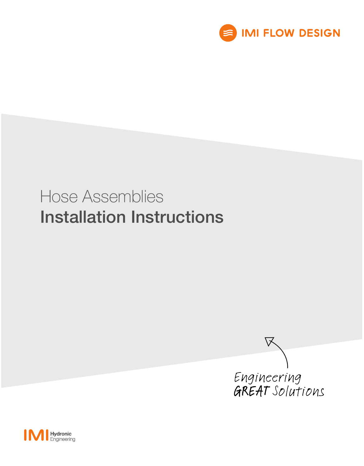

# Hose Assemblies Installation Instructions



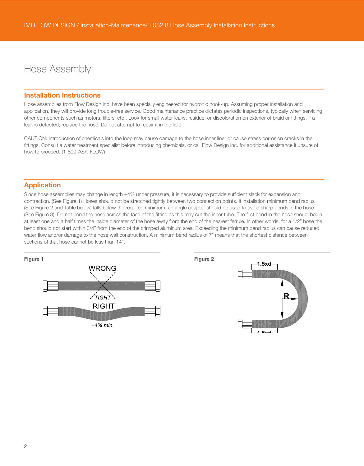## Hose Assembly

#### Installation Instructions

Hose assemblies from Flow Design Inc. have been specially engineered for hydronic hook-up. Assuming proper installation and application, they will provide long trouble-free service. Good maintenance practice dictates periodic inspections, typically when servicing other components such as motors, filters, etc.. Look for small water leaks, residue, or discoloration on exterior of braid or fittings. If a leak is detected, replace the hose. Do not attempt to repair it in the field.

CAUTION: Introduction of chemicals into the loop may cause damage to the hose inner liner or cause stress corrosion cracks in the fittings. Consult a water treatment specialist before introducing chemicals, or call Flow Design Inc. for additional assistance if unsure of how to proceed. (1-800-ASK-FLOW)

#### Application

Since hose assemblies may change in length ±4% under pressure, it is necessary to provide sufficient slack for expansion and contraction. (See Figure 1) Hoses should not be stretched tightly between two connection points. If installation minimum bend radius (See Figure 2 and Table below) falls below the required minimum, an angle adapter should be used to avoid sharp bends in the hose (See Figure 3). Do not bend the hose across the face of the fitting as this may cut the inner tube. The first bend in the hose should begin at least one and a half times the inside diameter of the hose away from the end of the nearest ferrule. In other words, for a 1/2" hose the bend should not start within 3/4" from the end of the crimped aluminum area. Exceeding the minimum bend radius can cause reduced water flow and/or damage to the hose wall construction. A minimum bend radius of 7" means that the shortest distance between sections of that hose cannot be less than 14".



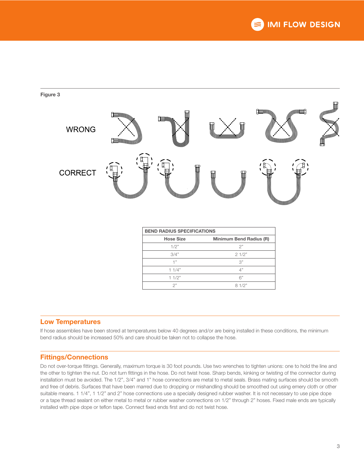



#### Low Temperatures

If hose assemblies have been stored at temperatures below 40 degrees and/or are being installed in these conditions, the minimum bend radius should be increased 50% and care should be taken not to collapse the hose.

#### Fittings/Connections

Do not over-torque fittings. Generally, maximum torque is 30 foot pounds. Use two wrenches to tighten unions: one to hold the line and the other to tighten the nut. Do not turn fittings in the hose. Do not twist hose. Sharp bends, kinking or twisting of the connector during installation must be avoided. The 1/2", 3/4" and 1" hose connections are metal to metal seals. Brass mating surfaces should be smooth and free of debris. Surfaces that have been marred due to dropping or mishandling should be smoothed out using emery cloth or other suitable means. 1 1/4", 1 1/2" and 2" hose connections use a specially designed rubber washer. It is not necessary to use pipe dope or a tape thread sealant on either metal to metal or rubber washer connections on 1/2" through 2" hoses. Fixed male ends are typically installed with pipe dope or teflon tape. Connect fixed ends first and do not twist hose.